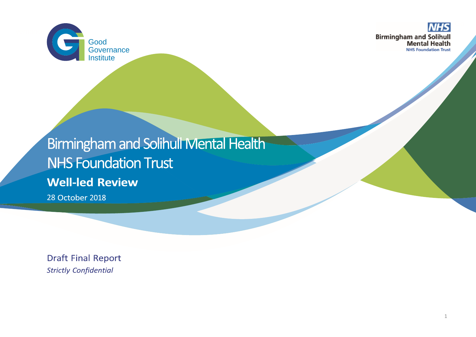

**NHS Birmingham and Solihull<br>Mental Health NHS Foundation Trust** 

# Birmingham and Solihull Mental Health **NHS Foundation Trust Well-led Review**

28 October 2018

**Draft Final Report Strictly Confidential**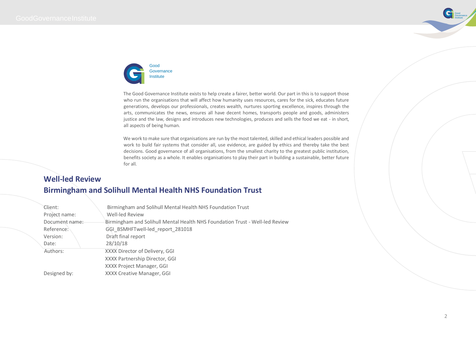



The Good Governance Institute exists to help create a fairer, better world. Our part in this is to support those who run the organisations that will affect how humanity uses resources, cares for the sick, educates future generations, develops our professionals, creates wealth, nurtures sporting excellence, inspires through the arts, communicates the news, ensures all have decent homes, transports people and goods, administers justice and the law, designs and introduces new technologies, produces and sells the food we eat - in short, all aspects of being human.

We work to make sure that organisations are run by the most talented, skilled and ethical leaders possible and work to build fair systems that consider all, use evidence, are guided by ethics and thereby take the best decisions. Good governance of all organisations, from the smallest charity to the greatest public institution, benefits society as a whole. It enables organisations to play their part in building a sustainable, better future for all.

## **Well-led Review Birmingham and Solihull Mental Health NHS Foundation Trust**

| Client:<br>Project name: | Birmingham and Solihull Mental Health NHS Foundation Trust<br>Well-led Review |
|--------------------------|-------------------------------------------------------------------------------|
| Document name:           | Birmingham and Solihull Mental Health NHS Foundation Trust - Well-led Review  |
| Reference:               | GGI BSMHFTwell-led report 281018                                              |
| Version:                 | Draft final report                                                            |
| Date:                    | 28/10/18                                                                      |
| Authors:                 | XXXX Director of Delivery, GGI                                                |
|                          | XXXX Partnership Director, GGI                                                |
|                          | XXXX Project Manager, GGI                                                     |
| Designed by:             | XXXX Creative Manager, GGI                                                    |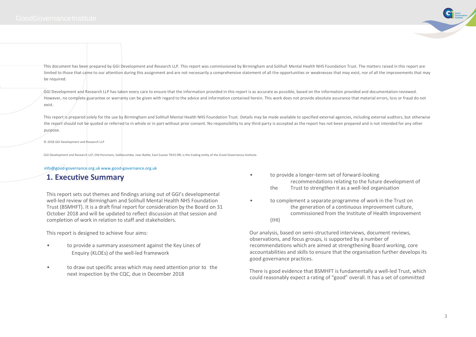

This document has been prepared by GGI Development and Research LLP. This report was commissioned by Birmingham and Solihull Mental Health NHS Foundation Trust. The matters raised in this report are limited to those that came to our attention during this assignment and are not necessarily a comprehensive statement of all the opportunities or weaknesses that may exist, nor of all the improvements that may be required.

GGI Development and Research LLP has taken every care to ensure that the information provided in this report is as accurate as possible, based on the information provided and documentation reviewed. However, no complete guarantee or warranty can be given with regard to the advice and information contained herein. This work does not provide absolute assurance that material errors, loss or fraud do not exist.

This report is prepared solely for the use by Birmingham and Solihull Mental Health NHS Foundation Trust. Details may be made available to specified external agencies, including external auditors, but otherwise the report should not be quoted or referred to in whole or in part without prior consent. No responsibility to any third party is accepted as the report has not been prepared and is not intended for any other purpose.

#### © 2018 GGI Development and Research LLP

GGI Development and Research LLP, Old Horsmans, Sedlescombe, near Battle, East Sussex TN33 0RL is the trading entity of the Good Governance Institute.

#### info@good-governance.org.uk www.good-governance.org.uk

## **1. Executive Summary**

This report sets out themes and findings arising out of GGI's developmental well-led review of Birmingham and Solihull Mental Health NHS Foundation Trust (BSMHFT). It is a draft final report for consideration by the Board on 31 October 2018 and will be updated to reflect discussion at that session and completion of work in relation to staff and stakeholders.

This report is designed to achieve four aims:

- to provide a summary assessment against the Key Lines of Enquiry (KLOEs) of the well-led framework
- to draw out specific areas which may need attention prior to the next inspection by the CQC, due in December 2018
- to provide a longer-term set of forward-looking recommendations relating to the future development of
	- the Trust to strengthen it as a well-led organisation
- to complement a separate programme of work in the Trust on the generation of a continuous improvement culture, commissioned from the Institute of Health Improvement (IHI)

Our analysis, based on semi-structured interviews, document reviews, observations, and focus groups, is supported by a number of recommendations which are aimed at strengthening Board working, core accountabilities and skills to ensure that the organisation further develops its good governance practices.

There is good evidence that BSMHFT is fundamentally a well-led Trust, which could reasonably expect a rating of "good" overall. It has a set of committed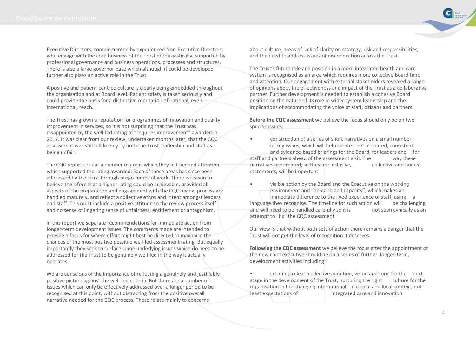Executive Directors, complemented by experienced Non-Executive Directors, who engage with the core business of the Trust enthusiastically, supported by professional governance and business operations, processes and structures. There is also a large governor base which although it could be developed further also plays an active role in the Trust.

A positive and patient-centred culture is clearly being embedded throughout the organisation and at Board level. Patient safety is taken seriously and could provide the basis for a distinctive reputation of national, even international, reach.

The Trust has grown a reputation for programmes of innovation and quality improvement in services, so it is not surprising that the Trust was disappointed by the well-led rating of "requires improvement" awarded in 2017. It was clear from our review, undertaken months later, that the CQC assessment was still felt keenly by both the Trust leadership and staff as being unfair.

The CQC report set out a number of areas which they felt needed attention, which supported the rating awarded. Each of these areas has since been addressed by the Trust through programmes of work. There is reason to believe therefore that a higher rating could be achievable, provided all aspects of the preparation and engagement with the CQC review process are handled maturely, and reflect a collective ethos and intent amongst leaders and staff. This must include a positive attitude to the review process itself and no sense of lingering sense of unfairness, entitlement or antagonism.

In this report we separate recommendations for immediate action from longer-term development issues. The comments made are intended to provide a focus for where effort might best be directed to maximise the chances of the most positive possible well-led assessment rating. But equally importantly they seek to surface some underlying issues which do need to be addressed for the Trust to be genuinely well-led in the way it actually operates.

We are conscious of the importance of reflecting a genuinely and justifiably positive picture against the well-led criteria. But there are a number of issues which can only be effectively addressed over a longer period to be recognised at this point, without distracting from the positive overall narrative needed for the CQC process. These relate mainly to concerns

about culture, areas of lack of clarity on strategy, risk and responsibilities, and the need to address issues of disconnection across the Trust.

The Trust's future role and position in a more integrated health and care system is recognised as an area which requires more collective Board time and attention. Our engagement with external stakeholders revealed a range of opinions about the effectiveness and impact of the Trust as a collaborative partner. Further development is needed to establish a cohesive Board position on the nature of its role in wider system leadership and the implications of accommodating the voice of staff, citizens and partners.

**Before the CQC assessment** we believe the focus should only be on two specific issues:

- construction of a series of short narratives on a small number of key issues, which will help create a set of shared, consistent and evidence-based briefings for the Board, for leaders and for staff and partners ahead of the assessment visit. The way these narratives are created, so they are inclusive, collective and honest statements, will be important
- visible action by the Board and the Executive on the working environment and "demand and capacity", which makes an immediate difference to the lived experience of staff, using a language they recognise. The timeline for such action will be challenging and will need to be handled carefully so it is not seen cynically as an attempt to "fix" the CQC assessment

Our view is that without both sets of action there remains a danger that the Trust will not get the level of recognition it deserves.

**Following the CQC assessment** we believe the focus after the appointment of the new chief executive should be on a series of further, longer-term, development activities including:

• creating a clear, collective ambition, vision and tone for the next stage in the development of the Trust, nurturing the right culture for the organisation in the changing international, national and local context, not least expectations of integrated care and innovation

Good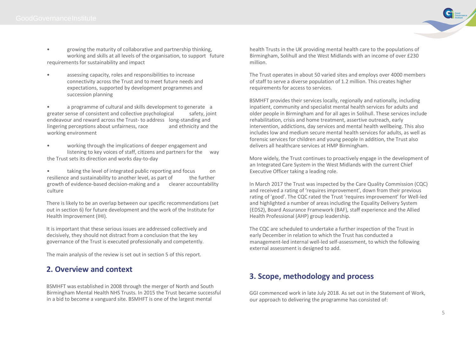- growing the maturity of collaborative and partnership thinking, working and skills at all levels of the organisation, to support future requirements for sustainability and impact
- assessing capacity, roles and responsibilities to increase connectivity across the Trust and to meet future needs and expectations, supported by development programmes and succession planning

• a programme of cultural and skills development to generate a greater sense of consistent and collective psychological safety, joint endeavour and reward across the Trust- to address long-standing and lingering perceptions about unfairness, race and ethnicity and the working environment

- working through the implications of deeper engagement and listening to key voices of staff, citizens and partners for the way the Trust sets its direction and works day-to-day
- taking the level of integrated public reporting and focus on resilience and sustainability to another level, as part of the further growth of evidence-based decision-making and a clearer accountability culture

There is likely to be an overlap between our specific recommendations (set out in section 6) for future development and the work of the Institute for Health Improvement (IHI).

It is important that these serious issues are addressed collectively and decisively, they should not distract from a conclusion that the key governance of the Trust is executed professionally and competently.

The main analysis of the review is set out in section 5 of this report.

## **2. Overview and context**

BSMHFT was established in 2008 through the merger of North and South Birmingham Mental Health NHS Trusts. In 2015 the Trust became successful in a bid to become a vanguard site. BSMHFT is one of the largest mental

health Trusts in the UK providing mental health care to the populations of Birmingham, Solihull and the West Midlands with an income of over £230 million.

The Trust operates in about 50 varied sites and employs over 4000 members of staff to serve a diverse population of 1.2 million. This creates higher requirements for access to services.

BSMHFT provides their services locally, regionally and nationally, including inpatient, community and specialist mental health services for adults and older people in Birmingham and for all ages in Solihull. These services include rehabilitation, crisis and home treatment, assertive outreach, early intervention, addictions, day services and mental health wellbeing. This also includes low and medium secure mental health services for adults, as well as forensic services for children and young people In addition, the Trust also delivers all healthcare services at HMP Birmingham.

More widely, the Trust continues to proactively engage in the development of an Integrated Care System in the West Midlands with the current Chief Executive Officer taking a leading role.

In March 2017 the Trust was inspected by the Care Quality Commission (CQC) and received a rating of 'requires improvement', down from their previous rating of 'good'. The CQC rated the Trust 'requires improvement' for Well-led and highlighted a number of areas including the Equality Delivery System (EDS2), Board Assurance Framework (BAF), staff experience and the Allied Health Professional (AHP) group leadership.

The CQC are scheduled to undertake a further inspection of the Trust in early December in relation to which the Trust has conducted a management-led internal well-led self-assessment, to which the following external assessment is designed to add.

## **3. Scope, methodology and process**

GGI commenced work in late July 2018. As set out in the Statement of Work, our approach to delivering the programme has consisted of:

Good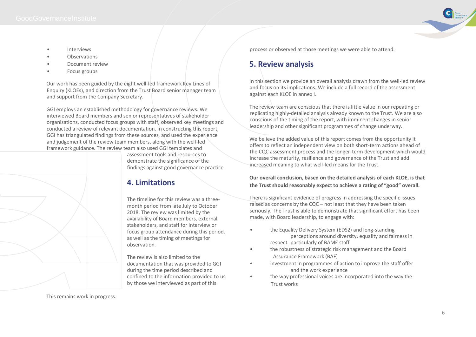Good

- Interviews
- Observations
- Document review
- Focus groups

Our work has been guided by the eight well-led framework Key Lines of Enquiry (KLOEs), and direction from the Trust Board senior manager team and support from the Company Secretary.

GGI employs an established methodology for governance reviews. We interviewed Board members and senior representatives of stakeholder organisations, conducted focus groups with staff, observed key meetings and conducted a review of relevant documentation. In constructing this report, GGI has triangulated findings from these sources, and used the experience and judgement of the review team members, along with the well-led framework guidance. The review team also used GGI templates and



assessment tools and resources to demonstrate the significance of the findings against good governance practice.

## **4. Limitations**

The timeline for this review was a threemonth period from late July to October 2018. The review was limited by the availability of Board members, external stakeholders, and staff for interview or focus group attendance during this period, as well as the timing of meetings for observation.

The review is also limited to the documentation that was provided to GGI during the time period described and confined to the information provided to us by those we interviewed as part of this

process or observed at those meetings we were able to attend.

## **5. Review analysis**

In this section we provide an overall analysis drawn from the well-led review and focus on its implications. We include a full record of the assessment against each KLOE in annex I.

The review team are conscious that there is little value in our repeating or replicating highly-detailed analysis already known to the Trust. We are also conscious of the timing of the report, with imminent changes in senior leadership and other significant programmes of change underway.

We believe the added value of this report comes from the opportunity it offers to reflect an independent view on both short-term actions ahead of the CQC assessment process and the longer-term development which would increase the maturity, resilience and governance of the Trust and add increased meaning to what well-led means for the Trust.

### **Our overall conclusion, based on the detailed analysis of each KLOE, is that the Trust should reasonably expect to achieve a rating of "good" overall.**

There is significant evidence of progress in addressing the specific issues raised as concerns by the CQC – not least that they have been taken seriously. The Trust is able to demonstrate that significant effort has been made, with Board leadership, to engage with:

- the Equality Delivery System (EDS2) and long-standing perceptions around diversity, equality and fairness in respect particularly of BAME staff
- the robustness of strategic risk management and the Board Assurance Framework (BAF)
- investment in programmes of action to improve the staff offer and the work experience
- the way professional voices are incorporated into the way the Trust works

This remains work in progress.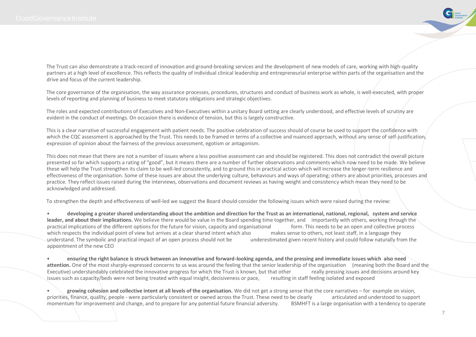

The Trust can also demonstrate a track-record of innovation and ground-breaking services and the development of new models of care, working with high-quality partners at a high level of excellence. This reflects the quality of individual clinical leadership and entrepreneurial enterprise within parts of the organisation and the drive and focus of the current leadership.

The core governance of the organisation, the way assurance processes, procedures, structures and conduct of business work as whole, is well-executed, with proper levels of reporting and planning of business to meet statutory obligations and strategic objectives.

The roles and expected contributions of Executives and Non-Executives within a unitary Board setting are clearly understood, and effective levels of scrutiny are evident in the conduct of meetings. On occasion there is evidence of tension, but this is largely constructive.

This is a clear narrative of successful engagement with patient needs. The positive celebration of success should of course be used to support the confidence with which the CQC assessment is approached by the Trust. This needs to be framed in terms of a collective and nuanced approach, without any sense of self-justification, expression of opinion about the fairness of the previous assessment, egotism or antagonism.

This does not mean that there are not a number of issues where a less positive assessment can and should be registered. This does not contradict the overall picture presented so far which supports a rating of "good", but it means there are a number of further observations and comments which now need to be made. We believe these will help the Trust strengthen its claim to be well-led consistently, and to ground this in practical action which will increase the longer-term resilience and effectiveness of the organisation. Some of these issues are about the underlying culture, behaviours and ways of operating; others are about priorities, processes and practice. They reflect issues raised during the interviews, observations and document reviews as having weight and consistency which mean they need to be acknowledged and addressed.

To strengthen the depth and effectiveness of well-led we suggest the Board should consider the following issues which were raised during the review:

• **developing a greater shared understanding about the ambition and direction for the Trust as an international, national, regional, system and service leader, and about their implications.** We believe there would be value in the Board spending time together, and importantly with others, working through the practical implications of the different options for the future for vision, capacity and organisational form. This needs to be an open and collective process which respects the individual point of view but arrives at a clear shared intent which also makes sense to others, not least staff, in a language they understand. The symbolic and practical impact of an open process should not be underestimated given recent history and could follow naturally from the appointment of the new CEO

• **ensuring the right balance is struck between an innovative and forward-looking agenda, and the pressing and immediate issues which also need attention.** One of the most sharply-expressed concerns to us was around the feeling that the senior leadership of the organisation (meaning both the Board and the Executive) understandably celebrated the innovative progress for which the Trust is known, but that other really pressing issues and decisions around key issues such as capacity/beds were not being treated with equal insight, decisiveness or pace, resulting in staff feeling isolated and exposed

• **growing cohesion and collective intent at all levels of the organisation.** We did not get a strong sense that the core narratives – for example on vision, priorities, finance, quality, people - were particularly consistent or owned across the Trust. These need to be clearly articulated and understood to support momentum for improvement and change, and to prepare for any potential future financial adversity. BSMHFT is a large organisation with a tendency to operate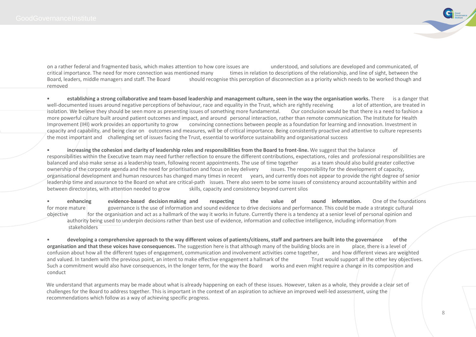

on a rather federal and fragmented basis, which makes attention to how core issues are understood, and solutions are developed and communicated, of critical importance. The need for more connection was mentioned many times critical importance. The need for more connection was mentioned many times in relation to descriptions of the relationship, and line of sight, between the<br>Board, leaders, middle managers and staff. The Board should recogni should recognise this perception of disconnection as a priority which needs to be worked though and removed

• **establishing a strong collaborative and team-based leadership and management culture, seen in the way the organisation works.** There is a danger that well-documented issues around negative perceptions of behaviour, race and equality in the Trust, which are rightly receiving a lot of attention, are treated in isolation. We believe they should be seen more as presenting i isolation. We believe they should be seen more as presenting issues of something more fundamental. more powerful culture built around patient outcomes and impact, and around personal interaction, rather than remote communication. The Institute for Health Improvement (IHI) work provides an opportunity to grow convincing connections between people as a foundation for learning and innovation. Investment in capacity and capability, and being clear on outcomes and measures, will be of critical importance. Being consistently proactive and attentive to culture represents the most important and challenging set of issues facing the Trust, essential to workforce sustainability and organisational success

• **increasing the cohesion and clarity of leadership roles and responsibilities from the Board to front-line.** We suggest that the balance of responsibilities within the Executive team may need further reflection to ensure the different contributions, expectations, roles and professional responsibilities are balanced and also make sense as a leadership team, following recent appointments. The use of time together as a team should also build greater collective ownership of the corporate agenda and the need for prioritisation and focus on key delivery issues. The responsibility for the development of capacity, organisational development and human resources has changed many times in recent years, and currently does not appear to provide the right degree of senior leadership time and assurance to the Board on what are critical-path issues. There also seem to be some issues of consistency around accountability within and between directorates, with attention needed to grow skills, capacity and consistency beyond current silos

• **enhancing evidence-based decision making and respecting the value of sound information.** One of the foundations for more mature governance is the use of information and sound evidence to drive decisions and performance. This could be made a strategic cultural objective for the organisation and act as a hallmark of the way it works in future. Currently there is a tendency at a senior level of personal opinion and authority being used to underpin decisions rather than best use of evidence, information and collective intelligence, including information from stakeholders

• **developing a comprehensive approach to the way different voices of patients/citizens, staff and partners are built into the governance of the organisation and that these voices have consequences.** The suggestion here is that although many of the building blocks are in place, there is a level of confusion about how all the different types of engagement, communication and involvement activities come together, and how different views are weighted and valued. In tandem with the previous point, an intent to make effective engagement a hallmark of the Trust would support all the other key objectives. Such a commitment would also have consequences, in the longer term, for the way the Board works and even might require a change in its composition and conduct

We understand that arguments may be made about what is already happening on each of these issues. However, taken as a whole, they provide a clear set of challenges for the Board to address together. This is important in the context of an aspiration to achieve an improved well-led assessment, using the recommendations which follow as a way of achieving specific progress.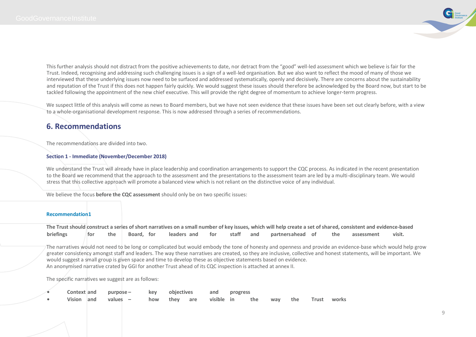

This further analysis should not distract from the positive achievements to date, nor detract from the "good" well-led assessment which we believe is fair for the Trust. Indeed, recognising and addressing such challenging issues is a sign of a well-led organisation. But we also want to reflect the mood of many of those we interviewed that these underlying issues now need to be surfaced and addressed systematically, openly and decisively. There are concerns about the sustainability and reputation of the Trust if this does not happen fairly quickly. We would suggest these issues should therefore be acknowledged by the Board now, but start to be tackled following the appointment of the new chief executive. This will provide the right degree of momentum to achieve longer-term progress.

We suspect little of this analysis will come as news to Board members, but we have not seen evidence that these issues have been set out clearly before, with a view to a whole-organisational development response. This is now addressed through a series of recommendations.

## **6. Recommendations**

The recommendations are divided into two.

#### **Section 1 - Immediate (November/December 2018)**

We understand the Trust will already have in place leadership and coordination arrangements to support the CQC process. As indicated in the recent presentation to the Board we recommend that the approach to the assessment and the presentations to the assessment team are led by a multi-disciplinary team. We would stress that this collective approach will promote a balanced view which is not reliant on the distinctive voice of any individual.

We believe the focus **before the CQC assessment** should only be on two specific issues:

#### **Recommendation1**

|           |     |            |             |     |           | The Trust should construct a series of short narratives on a small number of key issues, which will help create a set of shared, consistent and evidence-based |     |            |        |
|-----------|-----|------------|-------------|-----|-----------|----------------------------------------------------------------------------------------------------------------------------------------------------------------|-----|------------|--------|
| briefings | the | Board, for | leaders and | for | staff and | partnersahead of                                                                                                                                               | the | assessment | visit. |

The narratives would not need to be long or complicated but would embody the tone of honesty and openness and provide an evidence-base which would help grow greater consistency amongst staff and leaders. The way these narratives are created, so they are inclusive, collective and honest statements, will be important. We would suggest a small group is given space and time to develop these as objective statements based on evidence. An anonymised narrative crated by GGI for another Trust ahead of its CQC inspection is attached at annex II.

The specific narratives we suggest are as follows:

|  |  | Context and purpose - key objectives and progress                   |  |  |  |  |  |
|--|--|---------------------------------------------------------------------|--|--|--|--|--|
|  |  | Vision and values – how they are visible in the way the Trust works |  |  |  |  |  |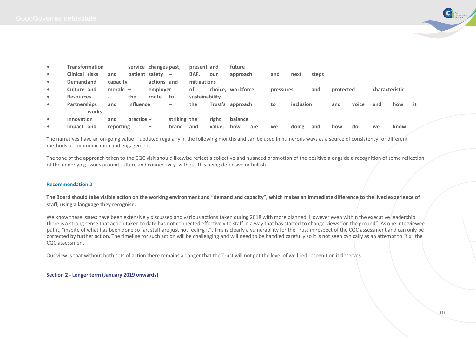

| $\bullet$ | Transformation   | $\overline{\phantom{a}}$ |              | service changes past,    |                          | present and    |        | future            |           |                  |       |           |       |                |      |    |
|-----------|------------------|--------------------------|--------------|--------------------------|--------------------------|----------------|--------|-------------------|-----------|------------------|-------|-----------|-------|----------------|------|----|
| $\bullet$ | Clinical risks   | and                      |              | patient safety           | $\overline{\phantom{m}}$ | BAF,           | our    | approach          | and       | next             | steps |           |       |                |      |    |
| $\bullet$ | <b>Demandand</b> | $capacity -$             |              | actions and              |                          | mitigations    |        |                   |           |                  |       |           |       |                |      |    |
| $\bullet$ | Culture and      | morale $-$               |              | employer                 |                          | οf             |        | choice, workforce | pressures |                  | and   | protected |       | characteristic |      |    |
| $\bullet$ | <b>Resources</b> | $\overline{\phantom{a}}$ | the          | route                    | to                       | sustainability |        |                   |           |                  |       |           |       |                |      |    |
| $\bullet$ | Partnerships     | and                      | influence    |                          | -                        | the            |        | Trust's approach  | to        | <i>inclusion</i> |       | and       | voice | and            | how  | it |
|           | works            |                          |              |                          |                          |                |        |                   |           |                  |       |           |       |                |      |    |
| $\bullet$ | Innovation       | and                      | $practive -$ |                          | striking the             |                | right  | balance           |           |                  |       |           |       |                |      |    |
|           | Impact and       | reporting                |              | $\overline{\phantom{0}}$ | brand                    | and            | value: | how<br>are        | we        | doing            | and   | how       | do    | we             | know |    |

The narratives have an on-going value if updated regularly in the following months and can be used in numerous ways as a source of consistency for different methods of communication and engagement.

The tone of the approach taken to the CQC visit should likewise reflect a collective and nuanced promotion of the positive alongside a recognition of some reflection of the underlying issues around culture and connectivity, without this being defensive or bullish.

#### **Recommendation 2**

**The Board should take visible action on the working environment and "demand and capacity", which makes an immediate difference to the lived experience of staff, using a language they recognise.** 

We know these issues have been extensively discussed and various actions taken during 2018 with more planned. However even within the executive leadership there is a strong sense that action taken to date has not connected effectively to staff in a way that has started to change views "on the ground". As one interviewee put it, "inspite of what has been done so far, staff are just not feeling it". This is clearly a vulnerability for the Trust in respect of the CQC assessment and can only be corrected by further action. The timeline for such action will be challenging and will need to be handled carefully so it is not seen cynically as an attempt to "fix" the CQC assessment.

Our view is that without both sets of action there remains a danger that the Trust will not get the level of well-led recognition it deserves.

**Section 2 - Longer term (January 2019 onwards)**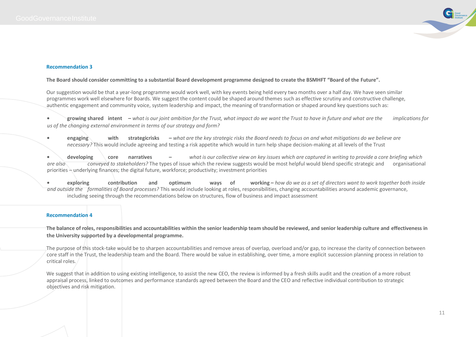

#### **Recommendation 3**

#### **The Board should consider committing to a substantial Board development programme designed to create the BSMHFT "Board of the Future".**

Our suggestion would be that a year-long programme would work well, with key events being held every two months over a half day. We have seen similar programmes work well elsewhere for Boards. We suggest the content could be shaped around themes such as effective scrutiny and constructive challenge, authentic engagement and community voice, system leadership and impact, the meaning of transformation or shaped around key questions such as:

**• growing shared intent –** *what is our joint ambition for the Trust, what impact do we want the Trust to have in future and what are the implications for us of the changing external environment in terms of our strategy and form?* 

**• engaging with strategicrisks –** *what are the key strategic risks the Board needs to focus on and what mitigations do we believe are necessary?* This would include agreeing and testing a risk appetite which would in turn help shape decision-making at all levels of the Trust

**• developing core narratives –** *what is our collective view on key issues which are captured in writing to provide a core briefing which are also conveyed to stakeholders?* The types of issue which the review suggests would be most helpful would blend specific strategic and organisational priorities – underlying finances; the digital future, workforce; productivity; investment priorities

**• exploring contribution and optimum ways of working –** *how do we as a set of directors want to work together both inside and outside the formalities of Board processes?* This would include looking at roles, responsibilities, changing accountabilities around academic governance, including seeing through the recommendations below on structures, flow of business and impact assessment

#### **Recommendation 4**

**The balance of roles, responsibilities and accountabilities within the senior leadership team should be reviewed, and senior leadership culture and effectiveness in the University supported by a developmental programme.**

The purpose of this stock-take would be to sharpen accountabilities and remove areas of overlap, overload and/or gap, to increase the clarity of connection between core staff in the Trust, the leadership team and the Board. There would be value in establishing, over time, a more explicit succession planning process in relation to critical roles.

We suggest that in addition to using existing intelligence, to assist the new CEO, the review is informed by a fresh skills audit and the creation of a more robust appraisal process, linked to outcomes and performance standards agreed between the Board and the CEO and reflective individual contribution to strategic objectives and risk mitigation.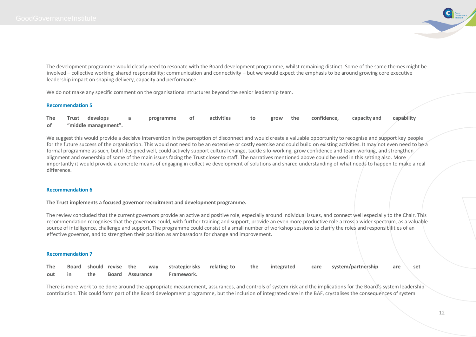

The development programme would clearly need to resonate with the Board development programme, whilst remaining distinct. Some of the same themes might be involved – collective working; shared responsibility; communication and connectivity – but we would expect the emphasis to be around growing core executive leadership impact on shaping delivery, capacity and performance.

We do not make any specific comment on the organisational structures beyond the senior leadership team.

#### **Recommendation 5**

|      | The Trust develops   | programme of | activities |  | to grow the confidence, u | capacity and capability |  |
|------|----------------------|--------------|------------|--|---------------------------|-------------------------|--|
| of a | "middle management". |              |            |  |                           |                         |  |

We suggest this would provide a decisive intervention in the perception of disconnect and would create a valuable opportunity to recognise and support key people for the future success of the organisation. This would not need to be an extensive or costly exercise and could build on existing activities. It may not even need to be a formal programme as such, but if designed well, could actively support cultural change, tackle silo-working, grow confidence and team-working, and strengthen alignment and ownership of some of the main issues facing the Trust closer to staff. The narratives mentioned above could be used in this setting also. More importantly it would provide a concrete means of engaging in collective development of solutions and shared understanding of what needs to happen to make a real difference.

#### **Recommendation 6**

#### **The Trust implements a focused governor recruitment and development programme.**

The review concluded that the current governors provide an active and positive role, especially around individual issues, and connect well especially to the Chair. This recommendation recognises that the governors could, with further training and support, provide an even more productive role across a wider spectrum, as a valuable source of intelligence, challenge and support. The programme could consist of a small number of workshop sessions to clarify the roles and responsibilities of an effective governor, and to strengthen their position as ambassadors for change and improvement.

#### **Recommendation 7**

|  |  |  |                                       |  |  | The Board should revise the way strategicrisks relating-to the integrated care system/partnership are set |  |
|--|--|--|---------------------------------------|--|--|-----------------------------------------------------------------------------------------------------------|--|
|  |  |  | out in the Board Assurance Framework. |  |  |                                                                                                           |  |

There is more work to be done around the appropriate measurement, assurances, and controls of system risk and the implications for the Board's system leadership contribution. This could form part of the Board development programme, but the inclusion of integrated care in the BAF, crystalises the consequences of system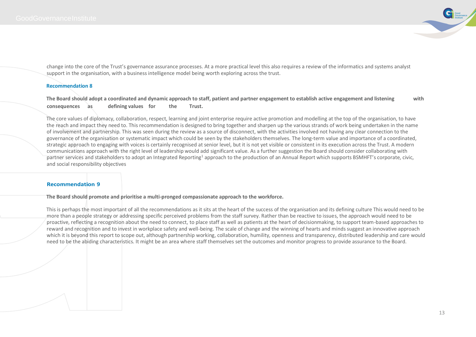

change into the core of the Trust's governance assurance processes. At a more practical level this also requires a review of the informatics and systems analyst support in the organisation, with a business intelligence model being worth exploring across the trust.

#### **Recommendation 8**

**The Board should adopt a coordinated and dynamic approach to staff, patient and partner engagement to establish active engagement and listening with consequences as defining values for the Trust.**

The core values of diplomacy, collaboration, respect, learning and joint enterprise require active promotion and modelling at the top of the organisation, to have the reach and impact they need to. This recommendation is designed to bring together and sharpen up the various strands of work being undertaken in the name of involvement and partnership. This was seen during the review as a source of disconnect, with the activities involved not having any clear connection to the governance of the organisation or systematic impact which could be seen by the stakeholders themselves. The long-term value and importance of a coordinated, strategic approach to engaging with voices is certainly recognised at senior level, but it is not yet visible or consistent in its execution across the Trust. A modern communications approach with the right level of leadership would add significant value. As a further suggestion the Board should consider collaborating with partner services and stakeholders to adopt an Integrated Reporting<sup>1</sup> approach to the production of an Annual Report which supports BSMHFT's corporate, civic, and social responsibility objectives

#### **Recommendation 9**

**The Board should promote and prioritise a multi-pronged compassionate approach to the workforce.**

This is perhaps the most important of all the recommendations as it sits at the heart of the success of the organisation and its defining culture This would need to be more than a people strategy or addressing specific perceived problems from the staff survey. Rather than be reactive to issues, the approach would need to be proactive, reflecting a recognition about the need to connect, to place staff as well as patients at the heart of decisionmaking, to support team-based approaches to reward and recognition and to invest in workplace safety and well-being. The scale of change and the winning of hearts and minds suggest an innovative approach which it is beyond this report to scope out, although partnership working, collaboration, humility, openness and transparency, distributed leadership and care would need to be the abiding characteristics. It might be an area where staff themselves set the outcomes and monitor progress to provide assurance to the Board.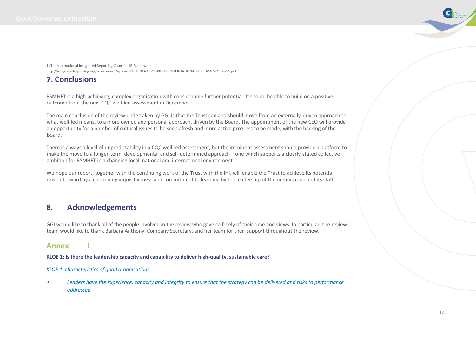Good

1) The International Integrated Reporting Council – IR Framework: http://integratedreporting.org/wp-content/uploads/2015/03/13-12-08-THE-INTERNATIONAL-IR-FRAMEWORK-2-1.pdf

## **7. Conclusions**

BSMHFT is a high-achieving, complex organisation with considerable further potential. It should be able to build on a positive outcome from the next CQC well-led assessment in December.

The main conclusion of the review undertaken by GGI is that the Trust can and should move from an externally-driven approach to what well-led means, to a more owned and personal approach, driven by the Board. The appointment of the new CEO will provide an opportunity for a number of cultural issues to be seen afresh and more active progress to be made, with the backing of the Board.

There is always a level of unpredictability in a CQC well-led assessment, but the imminent assessment should provide a platform to make the move to a longer-term, developmental and self-determined approach – one which supports a clearly-stated collective ambition for BSMHFT in a changing local, national and international environment.

We hope our report, together with the continuing work of the Trust with the IHI, will enable the Trust to achieve its potential driven forward by a continuing inquisitiveness and commitment to learning by the leadership of the organisation and its staff.

## **8. Acknowledgements**

GGI would like to thank all of the people involved in the review who gave so freely of their time and views. In particular, the review team would like to thank Barbara Anthony, Company Secretary, and her team for their support throughout the review.

## **Annex I**

**KLOE 1: Is there the leadership capacity and capability to deliver high-quality, sustainable care?**

#### *KLOE 1: characteristics of good organisations*

*• Leaders have the experience, capacity and integrity to ensure that the strategy can be delivered and risks to performance addressed*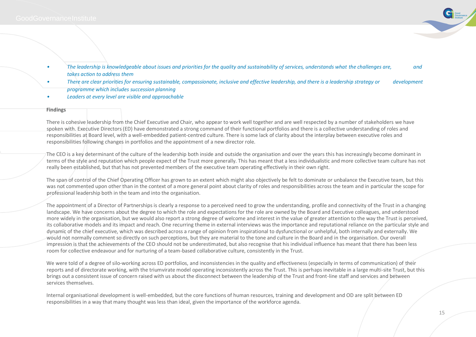

- The leadership is knowledgeable about issues and priorities for the quality and sustainability of services, understands what the challenges are, and and *takes action to address them*
- *• There are clear priorities for ensuring sustainable, compassionate, inclusive and effective leadership, and there is a leadership strategy or development programme which includes succession planning*
- *• Leaders at every level are visible and approachable*

#### **Findings**

There is cohesive leadership from the Chief Executive and Chair, who appear to work well together and are well respected by a number of stakeholders we have spoken with. Executive Directors (ED) have demonstrated a strong command of their functional portfolios and there is a collective understanding of roles and responsibilities at Board level, with a well-embedded patient-centred culture. There is some lack of clarity about the interplay between executive roles and responsibilities following changes in portfolios and the appointment of a new director role.

The CEO is a key determinant of the culture of the leadership both inside and outside the organisation and over the years this has increasingly become dominant in terms of the style and reputation which people expect of the Trust more generally. This has meant that a less individualistic and more collective team culture has not really been established, but that has not prevented members of the executive team operating effectively in their own right.

The span of control of the Chief Operating Officer has grown to an extent which might also objectively be felt to dominate or unbalance the Executive team, but this was not commented upon other than in the context of a more general point about clarity of roles and responsibilities across the team and in particular the scope for professional leadership both in the team and into the organisation.

The appointment of a Director of Partnerships is clearly a response to a perceived need to grow the understanding, profile and connectivity of the Trust in a changing landscape. We have concerns about the degree to which the role and expectations for the role are owned by the Board and Executive colleagues, and understood more widely in the organisation, but we would also report a strong degree of welcome and interest in the value of greater attention to the way the Trust is perceived, its collaborative models and its impact and reach. One recurring theme in external interviews was the importance and reputational reliance on the particular style and dynamic of the chief executive, which was described across a range of opinion from inspirational to dysfunctional or unhelpful, both internally and externally. We would not normally comment so directly on such perceptions, but they are material to the tone and culture in the Board and in the organisation. Our overall impression is that the achievements of the CEO should not be underestimated, but also recognise that his individual influence has meant that there has been less room for collective endeavour and for nurturing of a team-based collaborative culture, consistently in the Trust.

We were told of a degree of silo-working across ED portfolios, and inconsistencies in the quality and effectiveness (especially in terms of communication) of their reports and of directorate working, with the triumvirate model operating inconsistently across the Trust. This is perhaps inevitable in a large multi-site Trust, but this brings out a consistent issue of concern raised with us about the disconnect between the leadership of the Trust and front-line staff and services and between services themselves.

Internal organisational development is well-embedded, but the core functions of human resources, training and development and OD are split between ED responsibilities in a way that many thought was less than ideal, given the importance of the workforce agenda.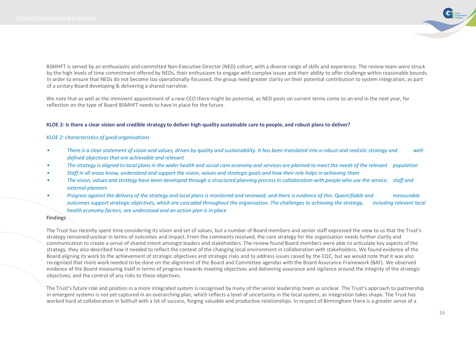

BSMHFT is served by an enthusiastic and committed Non-Executive Director (NED) cohort, with a diverse range of skills and experience. The review team were struck by the high levels of time commitment offered by NEDs, their enthusiasm to engage with complex issues and their ability to offer challenge within reasonable bounds. In order to ensure that NEDs do not become too operationally-focussed, the group need greater clarity on their potential contribution to system integration, as part of a unitary Board developing & delivering a shared narrative.

We note that as well as the imminent appointment of a new CEO there might be potential, as NED posts on current terms come to an end in the next year, for reflection on the type of Board BSMHFT needs to have in place for the future.

#### **KLOE 2: Is there a clear vision and credible strategy to deliver high-quality sustainable care to people, and robust plans to deliver?**

#### *KLOE 2: characteristics of good organisations*

- *• There is a clear statement of vision and values, driven by quality and sustainability. It has been translated into a robust and realistic strategy and welldefined objectives that are achievable and relevant*
- *• The strategy is aligned to local plans in the wider health and social care economy and services are planned to meet the needs of the relevant population*
- *• Staff in all areas know, understand and support the vision, values and strategic goals and how their role helps in achieving them*
- *• The vision, values and strategy have been developed through a structured planning process in collaboration with people who use the service, staff and external planners*
- *Progress against the delivery of the strategy and local plans is monitored and reviewed, and there is evidence of this. Quantifiable and* **measurable** *outcomes support strategic objectives, which are cascaded throughout the organisation. The challenges to achieving the strategy, including relevant local health economy factors, are understood and an action plan is in place*

#### **Findings**

The Trust has recently spent time considering its vision and set of values, but a number of Board members and senior staff expressed the view to us that the Trust's strategy remained unclear in terms of outcomes and impact. From the comments received, the core strategy for the organisation needs further clarity and communication to create a sense of shared intent amongst leaders and stakeholders. The review found Board members were able to articulate key aspects of the strategy, they also described how it needed to reflect the context of the changing local environment in collaboration with stakeholders. We found evidence of the Board aligning its work to the achievement of strategic objectives and strategic risks and to address issues raised by the CQC, but we would note that it was also recognised that more work needed to be done on the alignment of the Board and Committee agendas with the Board Assurance Framework (BAF). We observed evidence of the Board measuring itself in terms of progress towards meeting objectives and delivering assurance and vigilance around the integrity of the strategic objectives, and the control of any risks to these objectives.

The Trust's future role and position in a more integrated system is recognised by many of the senior leadership team as unclear. The Trust's approach to partnership in emergent systems is not yet captured in an overarching plan, which reflects a level of uncertainty in the local system, as integration takes shape. The Trust has worked hard at collaboration in Solihull with a lot of success, forging valuable and productive relationships. In respect of Birmingham there is a greater sense of a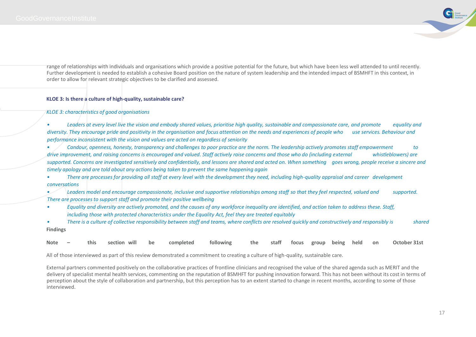

range of relationships with individuals and organisations which provide a positive potential for the future, but which have been less well attended to until recently. Further development is needed to establish a cohesive Board position on the nature of system leadership and the intended impact of BSMHFT in this context, in order to allow for relevant strategic objectives to be clarified and assessed.

#### **KLOE 3: Is there a culture of high-quality, sustainable care?**

#### *KLOE 3: characteristics of good organisations*

*• Leaders at every level live the vision and embody shared values, prioritise high quality, sustainable and compassionate care, and promote equality and diversity. They encourage pride and positivity in the organisation and focus attention on the needs and experiences of people who use services. Behaviour and performance inconsistent with the vision and values are acted on regardless of seniority*

*• Candour, openness, honesty, transparency and challenges to poor practice are the norm. The leadership actively promotes staff empowerment to drive improvement, and raising concerns is encouraged and valued. Staff actively raise concerns and those who do (including external whistleblowers) are supported. Concerns are investigated sensitively and confidentially, and lessons are shared and acted on. When something goes wrong, people receive a sincere and timely apology and are told about any actions being taken to prevent the same happening again*

*• There are processes for providing all staff at every level with the development they need, including high-quality appraisal and career development conversations*

*• Leaders model and encourage compassionate, inclusive and supportive relationships among staff so that they feel respected, valued and supported. There are processes to support staff and promote their positive wellbeing*

*• Equality and diversity are actively promoted, and the causes of any workforce inequality are identified, and action taken to address these. Staff, including those with protected characteristics under the Equality Act, feel they are treated equitably*

*• There is a culture of collective responsibility between staff and teams, where conflicts are resolved quickly and constructively and responsibly is shared* **Findings**

| Note $-$ |  |  | this sectionwill be completed following the staff focus group-being held on October 31st |  |  |  |  |  |  |  |  |  |  |  |
|----------|--|--|------------------------------------------------------------------------------------------|--|--|--|--|--|--|--|--|--|--|--|
|----------|--|--|------------------------------------------------------------------------------------------|--|--|--|--|--|--|--|--|--|--|--|

All of those interviewed as part of this review demonstrated a commitment to creating a culture of high-quality, sustainable care.

External partners commented positively on the collaborative practices of frontline clinicians and recognised the value of the shared agenda such as MERIT and the delivery of specialist mental health services, commenting on the reputation of BSMHFT for pushing innovation forward. This has not been without its cost in terms of perception about the style of collaboration and partnership, but this perception has to an extent started to change in recent months, according to some of those interviewed.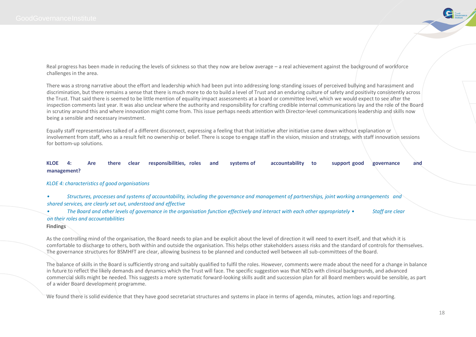

Real progress has been made in reducing the levels of sickness so that they now are below average – a real achievement against the background of workforce challenges in the area.

There was a strong narrative about the effort and leadership which had been put into addressing long-standing issues of perceived bullying and harassment and discrimination, but there remains a sense that there is much more to do to build a level of Trust and an enduring culture of safety and positivity consistently across the Trust. That said there is seemed to be little mention of equality impact assessments at a board or committee level, which we would expect to see after the inspection comments last year. It was also unclear where the authority and responsibility for crafting credible internal communications lay and the role of the Board in scrutiny around this and where innovation might come from. This issue perhaps needs attention with Director-level communications leadership and skills now being a sensible and necessary investment.

Equally staff representatives talked of a different disconnect, expressing a feeling that that initiative after initiative came down without explanation or involvement from staff, who as a result felt no ownership or belief. There is scope to engage staff in the vision, mission and strategy, with staff innovation sessions for bottom-up solutions.

#### **KLOE 4: Are there clear responsibilities, roles and systems of accountability to support good governance and management?**

#### *KLOE 4: characteristics of good organisations*

*• Structures, processes and systems of accountability, including the governance and management of partnerships, joint working arrangements and shared services, are clearly set out, understood and effective*

*• The Board and other levels of governance in the organisation function effectively and interact with each other appropriately • Staff are clear on their roles and accountabilities*

#### **Findings**

As the controlling mind of the organisation, the Board needs to plan and be explicit about the level of direction it will need to exert itself, and that which it is comfortable to discharge to others, both within and outside the organisation. This helps other stakeholders assess risks and the standard of controls for themselves. The governance structures for BSMHFT are clear, allowing business to be planned and conducted well between all sub-committees of the Board.

The balance of skills in the Board is sufficiently strong and suitably qualified to fulfil the roles. However, comments were made about the need for a change in balance in future to reflect the likely demands and dynamics which the Trust will face. The specific suggestion was that NEDs with clinical backgrounds, and advanced commercial skills might be needed. This suggests a more systematic forward-looking skills audit and succession plan for all Board members would be sensible, as part of a wider Board development programme.

We found there is solid evidence that they have good secretariat structures and systems in place in terms of agenda, minutes, action logs and reporting.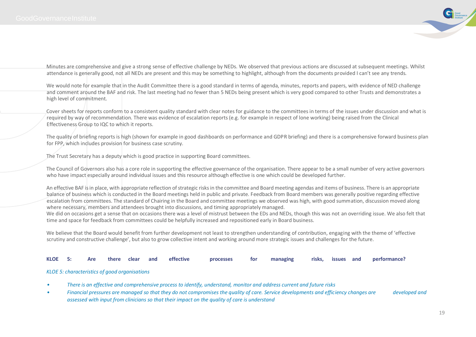

Minutes are comprehensive and give a strong sense of effective challenge by NEDs. We observed that previous actions are discussed at subsequent meetings. Whilst attendance is generally good, not all NEDs are present and this may be something to highlight, although from the documents provided I can't see any trends.

We would note for example that in the Audit Committee there is a good standard in terms of agenda, minutes, reports and papers, with evidence of NED challenge and comment around the BAF and risk. The last meeting had no fewer than 5 NEDs being present which is very good compared to other Trusts and demonstrates a high level of commitment.

Cover sheets for reports conform to a consistent quality standard with clear notes for guidance to the committees in terms of the issues under discussion and what is required by way of recommendation. There was evidence of escalation reports (e.g. for example in respect of lone working) being raised from the Clinical Effectiveness Group to IQC to which it reports.

The quality of briefing reports is high (shown for example in good dashboards on performance and GDPR briefing) and there is a comprehensive forward business plan for FPP, which includes provision for business case scrutiny.

The Trust Secretary has a deputy which is good practice in supporting Board committees.

The Council of Governors also has a core role in supporting the effective governance of the organisation. There appear to be a small number of very active governors who have impact especially around individual issues and this resource although effective is one which could be developed further.

An effective BAF is in place, with appropriate reflection of strategic risks in the committee and Board meeting agendas and items of business. There is an appropriate balance of business which is conducted in the Board meetings held in public and private. Feedback from Board members was generally positive regarding effective escalation from committees. The standard of Chairing in the Board and committee meetings we observed was high, with good summation, discussion moved along where necessary, members and attendees brought into discussions, and timing appropriately managed.

We did on occasions get a sense that on occasions there was a level of mistrust between the EDs and NEDs, though this was not an overriding issue. We also felt that time and space for feedback from committees could be helpfully increased and repositioned early in Board business.

We believe that the Board would benefit from further development not least to strengthen understanding of contribution, engaging with the theme of 'effective scrutiny and constructive challenge', but also to grow collective intent and working around more strategic issues and challenges for the future.

#### **KLOE 5: Are there clear and effective processes for managing risks, issues and performance?**

#### *KLOE 5: characteristics of good organisations*

- *• There is an effective and comprehensive process to identify, understand, monitor and address current and future risks*
- *Financial pressures are managed so that they do not compromises the quality of care. Service developments and efficiency changes are developed and <b>f assessed with input from clinicians so that their impact on the quality of care is understand*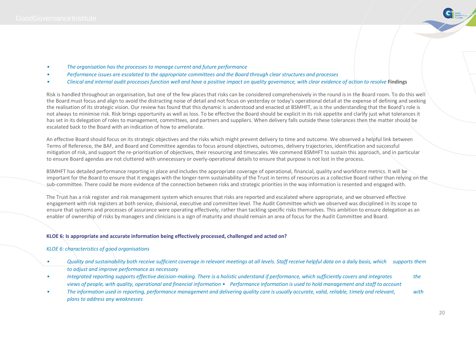

- *• The organisation has the processes to manage current and future performance*
- *• Performance issues are escalated to the appropriate committees and the Board through clear structures and processes*
- *• Clinical and internal audit processes function well and have a positive impact on quality governance, with clear evidence of action to resolve* **Findings**

Risk is handled throughout an organisation, but one of the few places that risks can be considered comprehensively in the round is in the Board room. To do this well the Board must focus and align to avoid the distracting noise of detail and not focus on yesterday or today's operational detail at the expense of defining and seeking the realisation of its strategic vision. Our review has found that this dynamic is understood and enacted at BSMHFT, as is the understanding that the Board's role is not always to minimise risk. Risk brings opportunity as well as loss. To be effective the Board should be explicit in its risk appetite and clarify just what tolerances it has set in its delegation of roles to management, committees, and partners and suppliers. When delivery falls outside these tolerances then the matter should be escalated back to the Board with an indication of how to ameliorate.

An effective Board should focus on its strategic objectives and the risks which might prevent delivery to time and outcome. We observed a helpful link between Terms of Reference, the BAF, and Board and Committee agendas to focus around objectives, outcomes, delivery trajectories, identification and successful mitigation of risk, and support the re-prioritisation of objectives, their resourcing and timescales. We commend BSMHFT to sustain this approach, and in particular to ensure Board agendas are not cluttered with unnecessary or overly-operational details to ensure that purpose is not lost in the process.

BSMHFT has detailed performance reporting in place and includes the appropriate coverage of operational, financial, quality and workforce metrics. It will be important for the Board to ensure that it engages with the longer-term sustainability of the Trust in terms of resources as a collective Board rather than relying on the sub-committee. There could be more evidence of the connection between risks and strategic priorities in the way information is resented and engaged with.

The Trust has a risk register and risk management system which ensures that risks are reported and escalated where appropriate, and we observed effective engagement with risk registers at both service, divisional, executive and committee level. The Audit Committee which we observed was disciplined in its scope to ensure that systems and processes of assurance were operating effectively, rather than tackling specific risks themselves. This ambition to ensure delegation as an enabler of ownership of risks by managers and clinicians is a sign of maturity and should remain an area of focus for the Audit Committee and Board.

#### **KLOE 6: Is appropriate and accurate information being effectively processed, challenged and acted on?**

#### *KLOE 6: characteristics of good organisations*

- *• Quality and sustainability both receive sufficient coverage in relevant meetings at all levels. Staff receive helpful data on a daily basis, which supports them to adjust and improve performance as necessary*
- *Integrated reporting supports effective decision-making. There is a holistic understand if performance, which sufficiently covers and integrates the beamviews of people, with quality, operational and financial information • Performance information is used to hold management and staff to account*
- *• The information used in reporting, performance management and delivering quality care is usually accurate, valid, reliable, timely and relevant, with plans to address any weaknesses*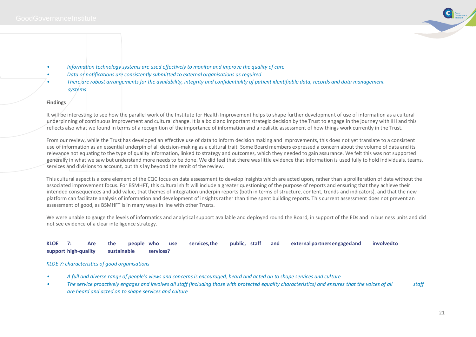

- *• Information technology systems are used effectively to monitor and improve the quality of care*
- *• Data or notifications are consistently submitted to external organisations as required*
- *• There are robust arrangements for the availability, integrity and confidentiality of patient identifiable data, records and data management systems*

#### **Findings**

It will be interesting to see how the parallel work of the Institute for Health Improvement helps to shape further development of use of information as a cultural underpinning of continuous improvement and cultural change. It is a bold and important strategic decision by the Trust to engage in the journey with IHI and this reflects also what we found in terms of a recognition of the importance of information and a realistic assessment of how things work currently in the Trust.

From our review, while the Trust has developed an effective use of data to inform decision making and improvements, this does not yet translate to a consistent use of information as an essential underpin of all decision-making as a cultural trait. Some Board members expressed a concern about the volume of data and its relevance not equating to the type of quality information, linked to strategy and outcomes, which they needed to gain assurance. We felt this was not supported generally in what we saw but understand more needs to be done. We did feel that there was little evidence that information is used fully to hold individuals, teams, services and divisions to account, but this lay beyond the remit of the review.

This cultural aspect is a core element of the CQC focus on data assessment to develop insights which are acted upon, rather than a proliferation of data without the associated improvement focus. For BSMHFT, this cultural shift will include a greater questioning of the purpose of reports and ensuring that they achieve their intended consequences and add value, that themes of integration underpin reports (both in terms of structure, content, trends and indicators), and that the new platform can facilitate analysis of information and development of insights rather than time spent building reports. This current assessment does not prevent an assessment of good, as BSMHFT is in many ways in line with other Trusts.

We were unable to gauge the levels of informatics and analytical support available and deployed round the Board, in support of the EDs and in business units and did not see evidence of a clear intelligence strategy.

#### **KLOE 7: Are the people who use services,the public, staff and external partnersengagedand involvedto support high-quality sustainable services?**

#### *KLOE 7: characteristics of good organisations*

- *• A full and diverse range of people's views and concerns is encouraged, heard and acted on to shape services and culture*
- *• The service proactively engages and involves all staff (including those with protected equality characteristics) and ensures that the voices of all staff are heard and acted on to shape services and culture*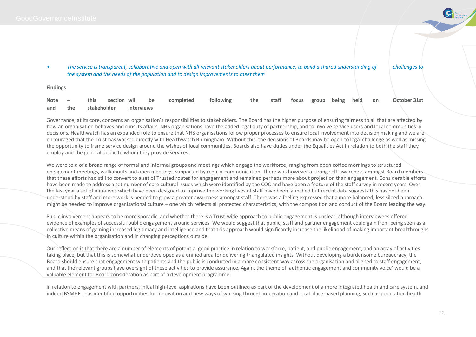- Good
- The service is transparent, collaborative and open with all relevant stakeholders about performance, to build a shared understanding of challenges to *the system and the needs of the population and to design improvements to meet them*

**Findings**

|  |                                |  | Note – this section will be completed following the staff focus group being held on October 31st |  |  |  |  |
|--|--------------------------------|--|--------------------------------------------------------------------------------------------------|--|--|--|--|
|  | and the stakeholder interviews |  |                                                                                                  |  |  |  |  |

Governance, at its core, concerns an organisation's responsibilities to stakeholders. The Board has the higher purpose of ensuring fairness to all that are affected by how an organisation behaves and runs its affairs. NHS organisations have the added legal duty of partnership, and to involve service users and local communities in decisions. Healthwatch has an expanded role to ensure that NHS organisations follow proper processes to ensure local involvement into decision making and we are encouraged that the Trust has worked directly with Healthwatch Birmingham. Without this, the decisions of Boards may be open to legal challenge as well as missing the opportunity to frame service design around the wishes of local communities. Boards also have duties under the Equalities Act in relation to both the staff they employ and the general public to whom they provide services.

We were told of a broad range of formal and informal groups and meetings which engage the workforce, ranging from open coffee mornings to structured engagement meetings, walkabouts and open meetings, supported by regular communication. There was however a strong self-awareness amongst Board members that these efforts had still to convert to a set of Trusted routes for engagement and remained perhaps more about projection than engagement. Considerable efforts have been made to address a set number of core cultural issues which were identified by the CQC and have been a feature of the staff survey in recent years. Over the last year a set of initiatives which have been designed to improve the working lives of staff have been launched but recent data suggests this has not been understood by staff and more work is needed to grow a greater awareness amongst staff. There was a feeling expressed that a more balanced, less siloed approach might be needed to improve organisational culture – one which reflects all protected characteristics, with the composition and conduct of the Board leading the way.

Public involvement appears to be more sporadic, and whether there is a Trust-wide approach to public engagement is unclear, although interviewees offered evidence of examples of successful public engagement around services. We would suggest that public, staff and partner engagement could gain from being seen as a collective means of gaining increased legitimacy and intelligence and that this approach would significantly increase the likelihood of making important breakthroughs in culture within the organisation and in changing perceptions outside.

Our reflection is that there are a number of elements of potential good practice in relation to workforce, patient, and public engagement, and an array of activities taking place, but that this is somewhat underdeveloped as a unified area for delivering triangulated insights. Without developing a burdensome bureaucracy, the Board should ensure that engagement with patients and the public is conducted in a more consistent way across the organisation and aligned to staff engagement, and that the relevant groups have oversight of these activities to provide assurance. Again, the theme of 'authentic engagement and community voice' would be a valuable element for Board consideration as part of a development programme.

In relation to engagement with partners, initial high-level aspirations have been outlined as part of the development of a more integrated health and care system, and indeed BSMHFT has identified opportunities for innovation and new ways of working through integration and local place-based planning, such as population health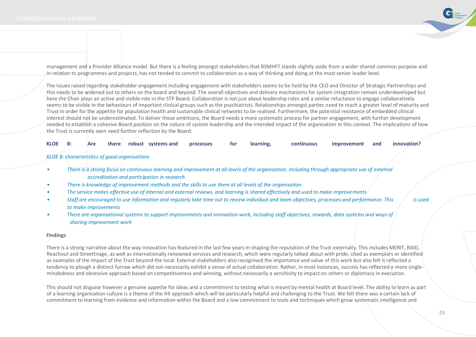

management and a Provider Alliance model. But there is a feeling amongst stakeholders that BSMHFT stands slightly aside from a wider shared common purpose and in relation to programmes and projects, has not tended to commit to collaboration as a way of thinking and doing at the most senior leader level.

The issues raised regarding stakeholder engagement including engagement with stakeholders seems to be held by the CEO and Director of Strategic Partnerships and this needs to be widened out to others on the board and beyond. The overall objectives and delivery mechanisms for system integration remain underdeveloped but here the Chair plays an active and visible role in the STP Board. Collaboration is not just about leadership roles and a similar reluctance to engage collaboratively seems to be visible in the behaviours of important clinical groups such as the psychiatrists. Relationships amongst parties need to reach a greater level of maturity and Trust in order for the appetite for population health and sustainable clinical networks to be realised. Furthermore, the potential resistance of embedded clinical interest should not be underestimated. To deliver these ambitions, the Board needs a more systematic process for partner engagement, with further development needed to establish a cohesive Board position on the nature of system leadership and the intended impact of the organisation in this context. The implications of how the Trust is currently seen need further reflection by the Board.

|  |  |  |  |  |  | KLOE 8: Are there robust systems and processes | tor | the contract of the contract of the contract of the contract of the contract of the contract of the contract of<br>learning, | continuous | improvement and innovation? |  |  |
|--|--|--|--|--|--|------------------------------------------------|-----|------------------------------------------------------------------------------------------------------------------------------|------------|-----------------------------|--|--|
|--|--|--|--|--|--|------------------------------------------------|-----|------------------------------------------------------------------------------------------------------------------------------|------------|-----------------------------|--|--|

#### *KLOE 8: characteristics of good organisations*

- *• There is a strong focus on continuous learning and improvement at all levels of the organisation, including through appropriate use of external accreditation and participation in research*
- *• There is knowledge of improvement methods and the skills to use them at all levels of the organisation*
- *• The service makes effective use of internal and external reviews, and learning is shared effectively and used to make improvements*
- *Staff are encouraged to use information and regularly take time out to review individual and team objectives, processes and performance. This is used is used and beformance. This is used is used and belogied in the stage to make improvements*

*• There are organisational systems to support improvements and innovation work, including staff objectives, rewards, data systems and ways of sharing improvement work*

#### **Findings**

There is a strong narrative about the way innovation has featured in the last few years in shaping the reputation of the Trust externally. This includes MERIT, RAID, Reachout and Streettriage, as well as internationally renowned services and research, which were regularly talked about with pride, cited as exemplars or identified as examples of the impact of the Trust beyond the local. External stakeholders also recognised the importance and value of this work but also felt it reflected a tendency to plough a distinct furrow which did not necessarily exhibit a sense of actual collaboration. Rather, in most instances, success has reflected a more singlemindedness and obsessive approach based on competitiveness and winning, without necessarily a sensitivity to impact on others or diplomacy in execution.

This should not disguise however a genuine appetite for ideas and a commitment to testing what is meant by mental health at Board level. The ability to learn as part of a learning organisation culture is a theme of the IHI approach which will be particularly helpful and challenging to the Trust. We felt there was a certain lack of commitment to learning from evidence and information within the Board and a low commitment to tools and techniques which grow systematic intelligence and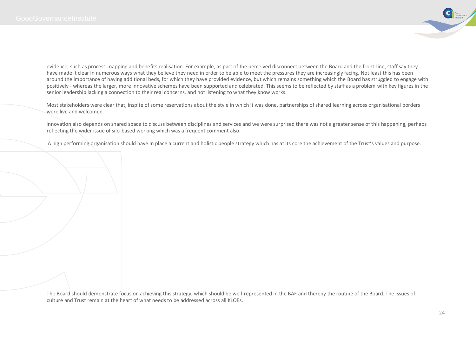

evidence, such as process-mapping and benefits realisation. For example, as part of the perceived disconnect between the Board and the front-line, staff say they have made it clear in numerous ways what they believe they need in order to be able to meet the pressures they are increasingly facing. Not least this has been around the importance of having additional beds, for which they have provided evidence, but which remains something which the Board has struggled to engage with positively - whereas the larger, more innovative schemes have been supported and celebrated. This seems to be reflected by staff as a problem with key figures in the senior leadership lacking a connection to their real concerns, and not listening to what they know works.

Most stakeholders were clear that, inspite of some reservations about the style in which it was done, partnerships of shared learning across organisational borders were live and welcomed.

Innovation also depends on shared space to discuss between disciplines and services and we were surprised there was not a greater sense of this happening, perhaps reflecting the wider issue of silo-based working which was a frequent comment also.

A high performing organisation should have in place a current and holistic people strategy which has at its core the achievement of the Trust's values and purpose.

The Board should demonstrate focus on achieving this strategy, which should be well-represented in the BAF and thereby the routine of the Board. The issues of culture and Trust remain at the heart of what needs to be addressed across all KLOEs.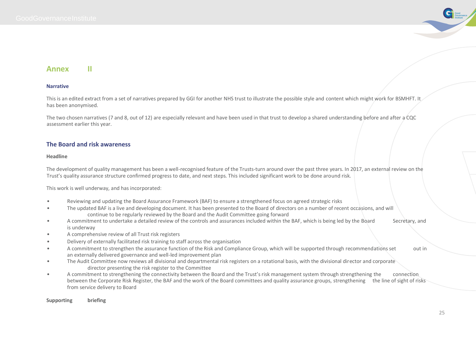

## **Annex II**

#### **Narrative**

This is an edited extract from a set of narratives prepared by GGI for another NHS trust to illustrate the possible style and content which might work for BSMHFT. It has been anonymised.

The two chosen narratives (7 and 8, out of 12) are especially relevant and have been used in that trust to develop a shared understanding before and after a CQC assessment earlier this year.

#### **The Board and risk awareness**

#### **Headline**

The development of quality management has been a well-recognised feature of the Trusts-turn around over the past three years. In 2017, an external review on the Trust's quality assurance structure confirmed progress to date, and next steps. This included significant work to be done around risk.

This work is well underway, and has incorporated:

- Reviewing and updating the Board Assurance Framework (BAF) to ensure a strengthened focus on agreed strategic risks
- The updated BAF is a live and developing document. It has been presented to the Board of directors on a number of recent occasions, and will continue to be regularly reviewed by the Board and the Audit Committee going forward
- A commitment to undertake a detailed review of the controls and assurances included within the BAF, which is being led by the Board Secretary, and is underway
- A comprehensive review of all Trust risk registers
- Delivery of externally facilitated risk training to staff across the organisation
- A commitment to strengthen the assurance function of the Risk and Compliance Group, which will be supported through recommendations set out in an externally delivered governance and well-led improvement plan
- The Audit Committee now reviews all divisional and departmental risk registers on a rotational basis, with the divisional director and corporate director presenting the risk register to the Committee
- A commitment to strengthening the connectivity between the Board and the Trust's risk management system through strengthening the connection between the Corporate Risk Register, the BAF and the work of the Board committees and quality assurance groups, strengthening the line of sight of risks from service delivery to Board

#### **Supporting briefing**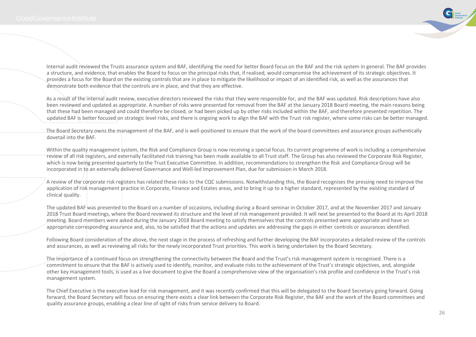

Internal audit reviewed the Trusts assurance system and BAF, identifying the need for better Board focus on the BAF and the risk system in general. The BAF provides a structure, and evidence, that enables the Board to focus on the principal risks that, if realised, would compromise the achievement of its strategic objectives. It provides a focus for the Board on the existing controls that are in place to mitigate the likelihood or impact of an identified risk, as well as the assurances that demonstrate both evidence that the controls are in place, and that they are effective.

As a result of the internal audit review, executive directors reviewed the risks that they were responsible for, and the BAF was updated. Risk descriptions have also been reviewed and updated as appropriate. A number of risks were presented for removal from the BAF at the January 2018 Board meeting, the main reasons being that these had been managed and could therefore be closed, or had been picked up by other risks included within the BAF, and therefore presented repetition. The updated BAF is better focused on strategic level risks, and there is ongoing work to align the BAF with the Trust risk register, where some risks can be better managed.

The Board Secretary owns the management of the BAF, and is well-positioned to ensure that the work of the board committees and assurance groups authentically dovetail into the BAF.

Within the quality management system, the Risk and Compliance Group is now receiving a special focus. Its current programme of work is including a comprehensive review of all risk registers, and externally facilitated risk training has been made available to all Trust staff. The Group has also reviewed the Corporate Risk Register, which is now being presented quarterly to the Trust Executive Committee. In addition, recommendations to strengthen the Risk and Compliance Group will be incorporated in to an externally delivered Governance and Well-led Improvement Plan, due for submission in March 2018.

A review of the corporate risk registers has related these risks to the CQC submissions. Notwithstanding this, the Board recognises the pressing need to improve the application of risk management practice in Corporate. Finance and Estates areas, and to bring it up to a higher standard, represented by the existing standard of clinical quality.

The updated BAF was presented to the Board on a number of occasions, including during a Board seminar in October 2017, and at the November 2017 and January 2018 Trust Board meetings, where the Board reviewed its structure and the level of risk management provided. It will next be presented to the Board at its April 2018 meeting. Board members were asked during the January 2018 Board meeting to satisfy themselves that the controls presented were appropriate and have an appropriate corresponding assurance and, also, to be satisfied that the actions and updates are addressing the gaps in either controls or assurances identified.

Following Board consideration of the above, the next stage in the process of refreshing and further developing the BAF incorporates a detailed review of the controls and assurances, as well as reviewing all risks for the newly incorporated Trust priorities. This work is being undertaken by the Board Secretary.

The importance of a continued focus on strengthening the connectivity between the Board and the Trust's risk management system is recognised. There is a commitment to ensure that the BAF is actively used to identify, monitor, and evaluate risks to the achievement of the Trust's strategic objectives, and, alongside other key management tools, is used as a live document to give the Board a comprehensive view of the organisation's risk profile and confidence in the Trust's risk management system.

The Chief Executive is the executive lead for risk management, and it was recently confirmed that this will be delegated to the Board Secretary going forward. Going forward, the Board Secretary will focus on ensuring there exists a clear link between the Corporate Risk Register, the BAF and the work of the Board committees and quality assurance groups, enabling a clear line of sight of risks from service delivery to Board.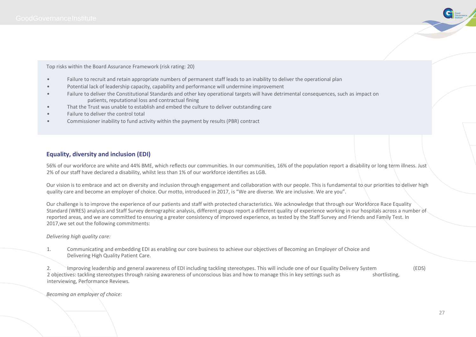

Top risks within the Board Assurance Framework (risk rating: 20)

- Failure to recruit and retain appropriate numbers of permanent staff leads to an inability to deliver the operational plan
- Potential lack of leadership capacity, capability and performance will undermine improvement
- Failure to deliver the Constitutional Standards and other key operational targets will have detrimental consequences, such as impact on patients, reputational loss and contractual fining
- That the Trust was unable to establish and embed the culture to deliver outstanding care
- Failure to deliver the control total
- Commissioner inability to fund activity within the payment by results (PBR) contract

#### **Equality, diversity and inclusion (EDI)**

56% of our workforce are white and 44% BME, which reflects our communities. In our communities, 16% of the population report a disability or long term illness. Just 2% of our staff have declared a disability, whilst less than 1% of our workforce identifies as LGB.

Our vision is to embrace and act on diversity and inclusion through engagement and collaboration with our people. This is fundamental to our priorities to deliver high quality care and become an employer of choice. Our motto, introduced in 2017, is "We are diverse. We are inclusive. We are you".

Our challenge is to improve the experience of our patients and staff with protected characteristics. We acknowledge that through our Workforce Race Equality Standard (WRES) analysis and Staff Survey demographic analysis, different groups report a different quality of experience working in our hospitals across a number of reported areas, and we are committed to ensuring a greater consistency of improved experience, as tested by the Staff Survey and Friends and Family Test. In 2017,we set out the following commitments:

*Delivering high quality care:*

1. Communicating and embedding EDI as enabling our core business to achieve our objectives of Becoming an Employer of Choice and Delivering High Quality Patient Care.

2. Improving leadership and general awareness of EDI including tackling stereotypes. This will include one of our Equality Delivery System (EDS) 2 objectives: tackling stereotypes through raising awareness of unconscious bias and how to manage this in key settings such as shortlisting, interviewing, Performance Reviews.

*Becoming an employer of choice:*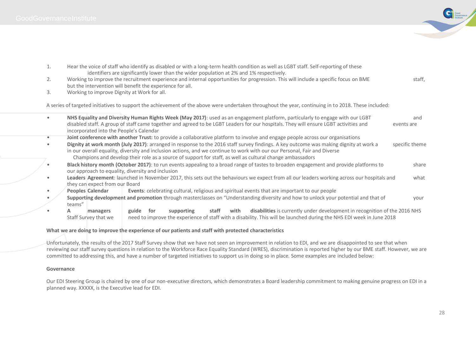

| 1. | Hear the voice of staff who identify as disabled or with a long-term health condition as well as LGBT staff. Self-reporting of these                                                                                                                               |       |     | identifiers are significantly lower than the wider population at 2% and 1% respectively.                              |       |      |  |  |  |  |                                                                            |            |                |
|----|--------------------------------------------------------------------------------------------------------------------------------------------------------------------------------------------------------------------------------------------------------------------|-------|-----|-----------------------------------------------------------------------------------------------------------------------|-------|------|--|--|--|--|----------------------------------------------------------------------------|------------|----------------|
| 2. | Working to improve the recruitment experience and internal opportunities for progression. This will include a specific focus on BME                                                                                                                                |       |     |                                                                                                                       |       |      |  |  |  |  |                                                                            |            | staff,         |
|    | but the intervention will benefit the experience for all.                                                                                                                                                                                                          |       |     |                                                                                                                       |       |      |  |  |  |  |                                                                            |            |                |
| 3. | Working to improve Dignity at Work for all.                                                                                                                                                                                                                        |       |     |                                                                                                                       |       |      |  |  |  |  |                                                                            |            |                |
|    | A series of targeted initiatives to support the achievement of the above were undertaken throughout the year, continuing in to 2018. These included:                                                                                                               |       |     |                                                                                                                       |       |      |  |  |  |  |                                                                            |            |                |
|    | NHS Equality and Diversity Human Rights Week (May 2017): used as an engagement platform, particularly to engage with our LGBT                                                                                                                                      |       |     |                                                                                                                       |       |      |  |  |  |  |                                                                            |            | and            |
|    | disabled staff. A group of staff came together and agreed to be LGBT Leaders for our hospitals. They will ensure LGBT activities and<br>incorporated into the People's Calendar                                                                                    |       |     |                                                                                                                       |       |      |  |  |  |  |                                                                            | events are |                |
|    | Joint conference with another Trust: to provide a collaborative platform to involve and engage people across our organisations                                                                                                                                     |       |     |                                                                                                                       |       |      |  |  |  |  |                                                                            |            |                |
|    | Dignity at work month (July 2017): arranged in response to the 2016 staff survey findings. A key outcome was making dignity at work a<br>in our overall equality, diversity and inclusion actions, and we continue to work with our our Personal, Fair and Diverse |       |     |                                                                                                                       |       |      |  |  |  |  |                                                                            |            | specific theme |
|    | Champions and develop their role as a source of support for staff, as well as cultural change ambassadors                                                                                                                                                          |       |     |                                                                                                                       |       |      |  |  |  |  |                                                                            |            |                |
|    | Black history month (October 2017): to run events appealing to a broad range of tastes to broaden engagement and provide platforms to<br>our approach to equality, diversity and inclusion                                                                         |       |     |                                                                                                                       |       |      |  |  |  |  |                                                                            |            | share          |
|    | Leaders Agreement: launched in November 2017, this sets out the behaviours we expect from all our leaders working across our hospitals and<br>they can expect from our Board                                                                                       |       |     |                                                                                                                       |       |      |  |  |  |  |                                                                            |            | what           |
|    | Peoples Calendar                                                                                                                                                                                                                                                   |       |     | Events: celebrating cultural, religious and spiritual events that are important to our people                         |       |      |  |  |  |  |                                                                            |            |                |
|    | Supporting development and promotion through masterclasses on "Understanding diversity and how to unlock your potential and that of<br>teams"                                                                                                                      |       |     |                                                                                                                       |       |      |  |  |  |  |                                                                            |            | your           |
|    | A<br>managers                                                                                                                                                                                                                                                      | guide | for | supporting                                                                                                            | staff | with |  |  |  |  | disabilities is currently under development in recognition of the 2016 NHS |            |                |
|    | Staff Survey that we                                                                                                                                                                                                                                               |       |     | need to improve the experience of staff with a disability. This will be launched during the NHS EDI week in June 2018 |       |      |  |  |  |  |                                                                            |            |                |

#### **What we are doing to improve the experience of our patients and staff with protected characteristics**

Unfortunately, the results of the 2017 Staff Survey show that we have not seen an improvement in relation to EDI, and we are disappointed to see that when reviewing our staff survey questions in relation to the Workforce Race Equality Standard (WRES), discrimination is reported higher by our BME staff. However, we are committed to addressing this, and have a number of targeted initiatives to support us in doing so in place. Some examples are included below:

#### **Governance**

Our EDI Steering Group is chaired by one of our non-executive directors, which demonstrates a Board leadership commitment to making genuine progress on EDI in a planned way. XXXXX, is the Executive lead for EDI.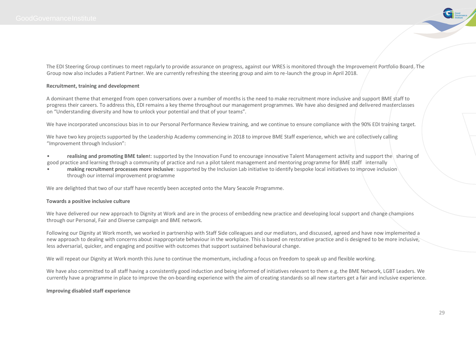

The EDI Steering Group continues to meet regularly to provide assurance on progress, against our WRES is monitored through the Improvement Portfolio Board. The Group now also includes a Patient Partner. We are currently refreshing the steering group and aim to re-launch the group in April 2018.

#### **Recruitment, training and development**

A dominant theme that emerged from open conversations over a number of months is the need to make recruitment more inclusive and support BME staff to progress their careers. To address this, EDI remains a key theme throughout our management programmes. We have also designed and delivered masterclasses on "Understanding diversity and how to unlock your potential and that of your teams".

We have incorporated unconscious bias in to our Personal Performance Review training, and we continue to ensure compliance with the 90% EDI training target.

We have two key projects supported by the Leadership Academy commencing in 2018 to improve BME Staff experience, which we are collectively calling "Improvement through Inclusion":

- **realising and promoting BME talen**t: supported by the Innovation Fund to encourage innovative Talent Management activity and support the sharing of good practice and learning through a community of practice and run a pilot talent management and mentoring programme for BME staff internally
- **making recruitment processes more inclusive**: supported by the Inclusion Lab initiative to identify bespoke local initiatives to improve inclusion through our internal improvement programme

We are delighted that two of our staff have recently been accepted onto the Mary Seacole Programme.

#### **Towards a positive inclusive culture**

We have delivered our new approach to Dignity at Work and are in the process of embedding new practice and developing local support and change champions through our Personal, Fair and Diverse campaign and BME network.

Following our Dignity at Work month, we worked in partnership with Staff Side colleagues and our mediators, and discussed, agreed and have now implemented a new approach to dealing with concerns about inappropriate behaviour in the workplace. This is based on restorative practice and is designed to be more inclusive, less adversarial, quicker, and engaging and positive with outcomes that support sustained behavioural change.

We will repeat our Dignity at Work month this June to continue the momentum, including a focus on freedom to speak up and flexible working.

We have also committed to all staff having a consistently good induction and being informed of initiatives relevant to them e.g. the BME Network, LGBT Leaders. We currently have a programme in place to improve the on-boarding experience with the aim of creating standards so all new starters get a fair and inclusive experience.

#### **Improving disabled staff experience**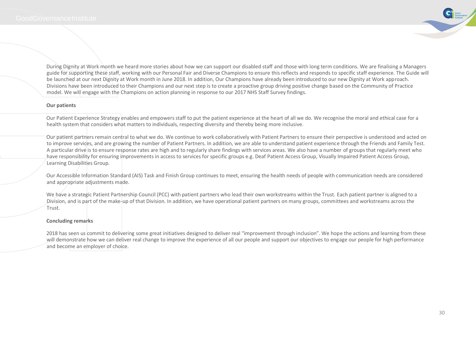

During Dignity at Work month we heard more stories about how we can support our disabled staff and those with long term conditions. We are finalising a Managers guide for supporting these staff, working with our Personal Fair and Diverse Champions to ensure this reflects and responds to specific staff experience. The Guide will be launched at our next Dignity at Work month in June 2018. In addition, Our Champions have already been introduced to our new Dignity at Work approach. Divisions have been introduced to their Champions and our next step is to create a proactive group driving positive change based on the Community of Practice model. We will engage with the Champions on action planning in response to our 2017 NHS Staff Survey findings.

#### **Our patients**

Our Patient Experience Strategy enables and empowers staff to put the patient experience at the heart of all we do. We recognise the moral and ethical case for a health system that considers what matters to individuals, respecting diversity and thereby being more inclusive.

Our patient partners remain central to what we do. We continue to work collaboratively with Patient Partners to ensure their perspective is understood and acted on to improve services, and are growing the number of Patient Partners. In addition, we are able to understand patient experience through the Friends and Family Test. A particular drive is to ensure response rates are high and to regularly share findings with services areas. We also have a number of groups that regularly meet who have responsibility for ensuring improvements in access to services for specific groups e.g. Deaf Patient Access Group, Visually Impaired Patient Access Group, Learning Disabilities Group.

Our Accessible Information Standard (AIS) Task and Finish Group continues to meet, ensuring the health needs of people with communication needs are considered and appropriate adjustments made.

We have a strategic Patient Partnership Council (PCC) with patient partners who lead their own workstreams within the Trust. Each patient partner is aligned to a Division, and is part of the make-up of that Division. In addition, we have operational patient partners on many groups, committees and workstreams across the Trust.

#### **Concluding remarks**

2018 has seen us commit to delivering some great initiatives designed to deliver real "improvement through inclusion". We hope the actions and learning from these will demonstrate how we can deliver real change to improve the experience of all our people and support our objectives to engage our people for high performance and become an employer of choice.